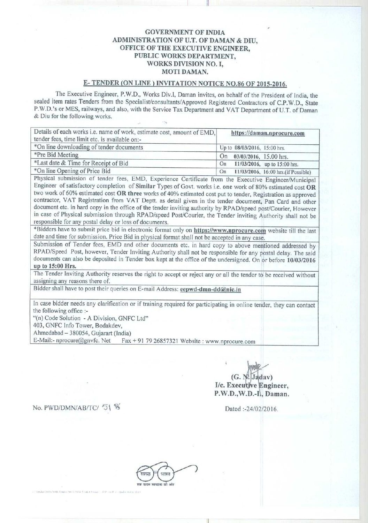### GOVERNMENT OF INDIA ADMINISTRATION OF U.T. OF DAMAN & DIU, OFFICE OF THE EXECUTIVE ENGINEER, PUBLIC WORKS DEPARTMENT, WORKS DIVISION NO. I, MOTI DAMAN.

ii

# E- TENDER (ON LINE) INVITATION NOTICE NO.86 OF 2015-2016**.**

The Executive Engineer, P.W.D., Works Div.l, Daman invites, on behalf of the President of India, the sealed item rates Tenders from the Specialist/consultants/Approved Registered Contractors of C.P.W.D., State P.W.D.'s or MES, railways, and also, with the Service Tax Department and VAT Department of U.T. of Daman & Diu for the following works.

| Details of each works i.e. name of work, estimate cost, amount of EMD,<br>tender fees, time limit etc. is available on:- | https://daman.nprocure.com                |  |
|--------------------------------------------------------------------------------------------------------------------------|-------------------------------------------|--|
| *On line downloading of tender documents                                                                                 | Up to 08/03/2016, 15:00 hrs.              |  |
| *Pre Bid Meeting                                                                                                         | 03/03/2016, 15.00 hrs.<br>On              |  |
| *Last date & Time for Receipt of Bid                                                                                     | 11/03/2016, up to 15:00 hrs.<br>On        |  |
| *On line Opening of Price Bid                                                                                            | 11/03/2016, 16:00 hrs.(if Possible)<br>On |  |

Physical submission of tender fees, EMD, Experience Certificate from the Executive Engineer/Municipal Engineer of satisfactory completion of **Similar** Types of Govt. works **i.e. one** work of 80% estimated cost OR two work of 60% estimated cost OR three works of 40% estimated cost put to tender, Registration as approved contractor, VAT Registration from VAT Deptt. as detail given in the tender document, Pan Card and other document etc. in hard copy in the office of the tender inviting authority by RPAD/speed post/Courier, However in case of Physical submission through RPAD/speed Post/Courier, the Tender inviting Authority shall not be responsible for any postal delay or loss of documents.

\*Bidders have to submit price bid in electronic format only **on https** ://www.nprocure.com website till the last date and time for submission. Price Bid in physical format shall not be accepted in any case.

Submission of Tender fees, EMD and other documents etc. in hard copy to above mentioned addressed by RPAD/Speed Post, however, Tender Inviting Authority shall not be responsible for any postal delay. The said documents can also be deposited in Tender box kept at the office of the undersigned. On or before 10/03/2016 **u** p **to 15**: **00 Hrs.**

The Tender Inviting Authority reserves the right to accept or reject any or all the tender to be received without **assi**g**nin**g any reasons there of.

Bidder shall have to post their queries on E-mail Address: eepwd-dmn-dd@nic.in

In case bidder needs any clarification or if training required for participating in online tender, they can contact the following office :-

"(n) Code Solution - A Division, GNFC Ltd"

403, GNFC Info Tower, Bodakdev,

Ahmedabad - 380054, Gujarart (India)

E-Mail:- nprocure@gnvfc. Net Fax + 91 79 26857321 Website : www.nprocure.com

 $(G. N. Jadav)$ **I/c. Execujt**h' **e ngineer,** P.W.D.,W. **D.-IA, Daman.**

**No. PWD/DMN/AB/TC/ 51**  $\%$  Dated :-24/02/2016.

na an an